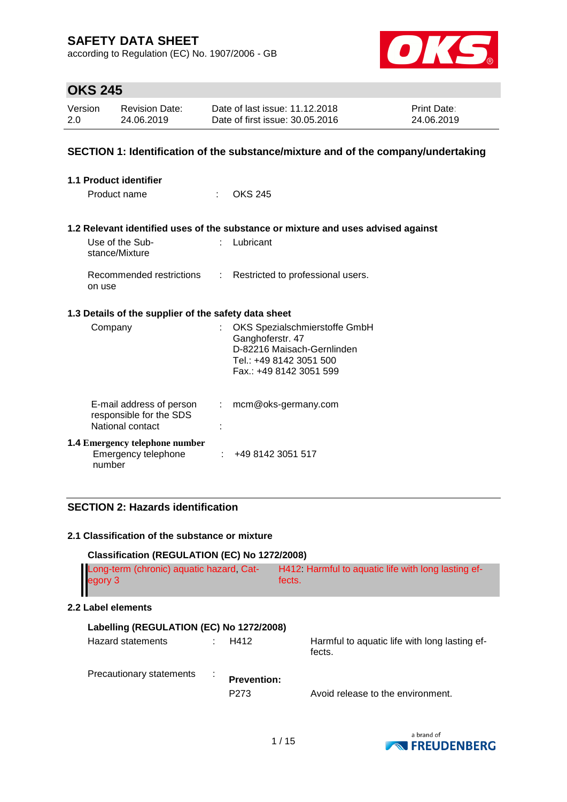according to Regulation (EC) No. 1907/2006 - GB



# **OKS 245**

| Version | Revision Date: | Date of last issue: 11.12.2018  | <b>Print Date:</b> |
|---------|----------------|---------------------------------|--------------------|
| 2.0     | 24.06.2019     | Date of first issue: 30.05.2016 | 24.06.2019         |

### **SECTION 1: Identification of the substance/mixture and of the company/undertaking**

| 1.1 Product identifier                                                  |                             |                                                                                                                                       |
|-------------------------------------------------------------------------|-----------------------------|---------------------------------------------------------------------------------------------------------------------------------------|
| Product name                                                            | ÷                           | <b>OKS 245</b>                                                                                                                        |
|                                                                         |                             |                                                                                                                                       |
| Use of the Sub-<br>stance/Mixture                                       | t.                          | 1.2 Relevant identified uses of the substance or mixture and uses advised against<br>Lubricant                                        |
| on use                                                                  |                             | Recommended restrictions : Restricted to professional users.                                                                          |
| 1.3 Details of the supplier of the safety data sheet                    |                             |                                                                                                                                       |
| Company                                                                 |                             | OKS Spezialschmierstoffe GmbH<br>Ganghoferstr. 47<br>D-82216 Maisach-Gernlinden<br>Tel.: +49 8142 3051 500<br>Fax.: +49 8142 3051 599 |
| E-mail address of person<br>responsible for the SDS<br>National contact | $\mathcal{D}^{\mathcal{A}}$ | mcm@oks-germany.com                                                                                                                   |
| <b>1.4 Emergency telephone number</b><br>Emergency telephone<br>number  |                             | : 4981423051517                                                                                                                       |

### **SECTION 2: Hazards identification**

#### **2.1 Classification of the substance or mixture**

| Classification (REGULATION (EC) No 1272/2008)       |                                        |                                                              |  |  |
|-----------------------------------------------------|----------------------------------------|--------------------------------------------------------------|--|--|
| Long-term (chronic) aquatic hazard, Cat-<br>egory 3 |                                        | H412 Harmful to aquatic life with long lasting ef-<br>fects. |  |  |
| 2.2 Label elements                                  |                                        |                                                              |  |  |
| Labelling (REGULATION (EC) No 1272/2008)            |                                        |                                                              |  |  |
| Hazard statements                                   | H412                                   | Harmful to aquatic life with long lasting ef-<br>fects.      |  |  |
| Precautionary statements                            | <b>Prevention:</b><br>P <sub>273</sub> | Avoid release to the environment.                            |  |  |

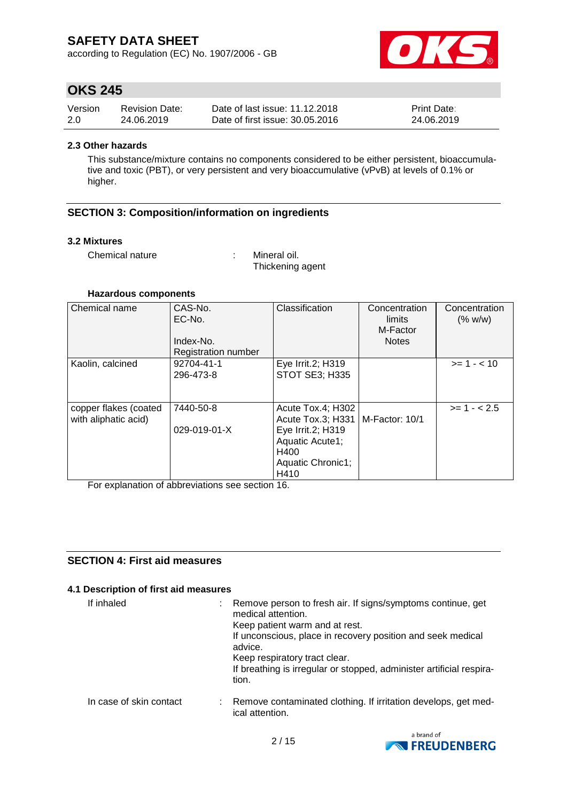according to Regulation (EC) No. 1907/2006 - GB



## **OKS 245**

| Version | <b>Revision Date:</b> | Date of last issue: 11.12.2018  | <b>Print Date:</b> |
|---------|-----------------------|---------------------------------|--------------------|
| 2.0     | 24.06.2019            | Date of first issue: 30.05.2016 | 24.06.2019         |

#### **2.3 Other hazards**

This substance/mixture contains no components considered to be either persistent, bioaccumulative and toxic (PBT), or very persistent and very bioaccumulative (vPvB) at levels of 0.1% or higher.

### **SECTION 3: Composition/information on ingredients**

#### **3.2 Mixtures**

Chemical nature : Mineral oil.

Thickening agent

#### **Hazardous components**

| Chemical name                                 | CAS-No.<br>EC-No.<br>Index-No.<br>Registration number | Classification                                                                                                      | Concentration<br>limits<br>M-Factor<br><b>Notes</b> | Concentration<br>(% w/w) |
|-----------------------------------------------|-------------------------------------------------------|---------------------------------------------------------------------------------------------------------------------|-----------------------------------------------------|--------------------------|
| Kaolin, calcined                              | 92704-41-1<br>296-473-8                               | Eye Irrit.2; H319<br>STOT SE3; H335                                                                                 |                                                     | $>= 1 - < 10$            |
| copper flakes (coated<br>with aliphatic acid) | 7440-50-8<br>029-019-01-X                             | Acute Tox.4; H302<br>Acute Tox.3; H331<br>Eye Irrit.2; H319<br>Aquatic Acute1;<br>H400<br>Aquatic Chronic1;<br>H410 | M-Factor: 10/1                                      | $>= 1 - 2.5$             |

For explanation of abbreviations see section 16.

## **SECTION 4: First aid measures**

#### **4.1 Description of first aid measures**

| If inhaled              | Remove person to fresh air. If signs/symptoms continue, get<br>medical attention.<br>Keep patient warm and at rest.<br>If unconscious, place in recovery position and seek medical<br>advice.<br>Keep respiratory tract clear.<br>If breathing is irregular or stopped, administer artificial respira-<br>tion. |
|-------------------------|-----------------------------------------------------------------------------------------------------------------------------------------------------------------------------------------------------------------------------------------------------------------------------------------------------------------|
| In case of skin contact | Remove contaminated clothing. If irritation develops, get med-<br>ical attention.                                                                                                                                                                                                                               |

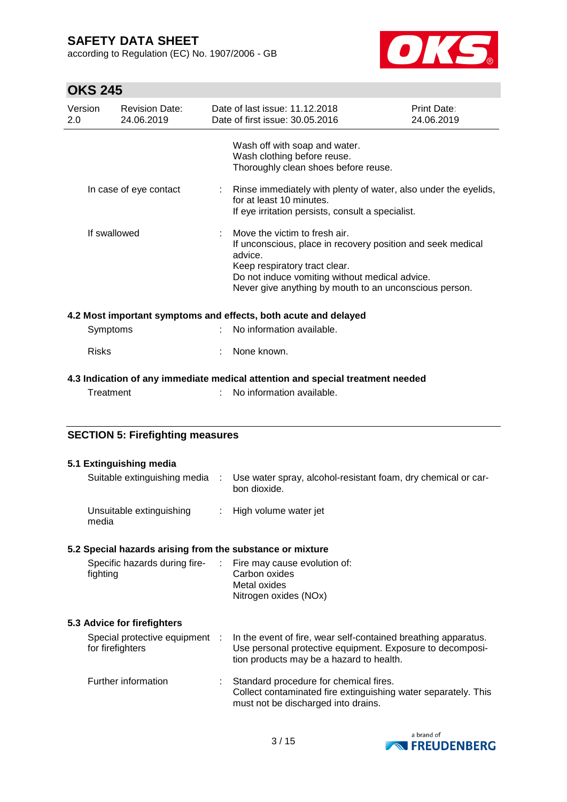according to Regulation (EC) No. 1907/2006 - GB



# **OKS 245**

| Version<br>2.0 | <b>Revision Date:</b><br>24.06.2019                |    | Date of last issue: 11.12.2018<br>Date of first issue: 30.05.2016                                                                                                                                                                                    | Print Date:<br>24.06.2019 |
|----------------|----------------------------------------------------|----|------------------------------------------------------------------------------------------------------------------------------------------------------------------------------------------------------------------------------------------------------|---------------------------|
|                |                                                    |    | Wash off with soap and water.<br>Wash clothing before reuse.<br>Thoroughly clean shoes before reuse.                                                                                                                                                 |                           |
|                | In case of eye contact                             | ÷. | Rinse immediately with plenty of water, also under the eyelids,<br>for at least 10 minutes.<br>If eye irritation persists, consult a specialist.                                                                                                     |                           |
|                | If swallowed                                       |    | Move the victim to fresh air.<br>If unconscious, place in recovery position and seek medical<br>advice.<br>Keep respiratory tract clear.<br>Do not induce vomiting without medical advice.<br>Never give anything by mouth to an unconscious person. |                           |
|                |                                                    |    | 4.2 Most important symptoms and effects, both acute and delayed                                                                                                                                                                                      |                           |
| Symptoms       |                                                    |    | No information available.                                                                                                                                                                                                                            |                           |
| <b>Risks</b>   |                                                    |    | None known.                                                                                                                                                                                                                                          |                           |
|                |                                                    |    | 4.3 Indication of any immediate medical attention and special treatment needed                                                                                                                                                                       |                           |
| Treatment      |                                                    |    | No information available.                                                                                                                                                                                                                            |                           |
|                |                                                    |    |                                                                                                                                                                                                                                                      |                           |
|                | <b>SECTION 5: Firefighting measures</b>            |    |                                                                                                                                                                                                                                                      |                           |
|                | 5.1 Extinguishing media                            |    |                                                                                                                                                                                                                                                      |                           |
|                | Suitable extinguishing media                       | ÷. | Use water spray, alcohol-resistant foam, dry chemical or car-<br>bon dioxide.                                                                                                                                                                        |                           |
| media          | Unsuitable extinguishing                           | ÷. | High volume water jet                                                                                                                                                                                                                                |                           |
|                |                                                    |    | 5.2 Special hazards arising from the substance or mixture                                                                                                                                                                                            |                           |
| fighting       | Specific hazards during fire-                      | ÷  | Fire may cause evolution of:<br>Carbon oxides<br>Metal oxides<br>Nitrogen oxides (NOx)                                                                                                                                                               |                           |
|                | 5.3 Advice for firefighters                        |    |                                                                                                                                                                                                                                                      |                           |
|                | Special protective equipment :<br>for firefighters |    | In the event of fire, wear self-contained breathing apparatus.<br>Use personal protective equipment. Exposure to decomposi-<br>tion products may be a hazard to health.                                                                              |                           |
|                | Further information                                |    | Standard procedure for chemical fires.<br>Collect contaminated fire extinguishing water separately. This                                                                                                                                             |                           |
|                |                                                    |    | must not be discharged into drains.                                                                                                                                                                                                                  |                           |

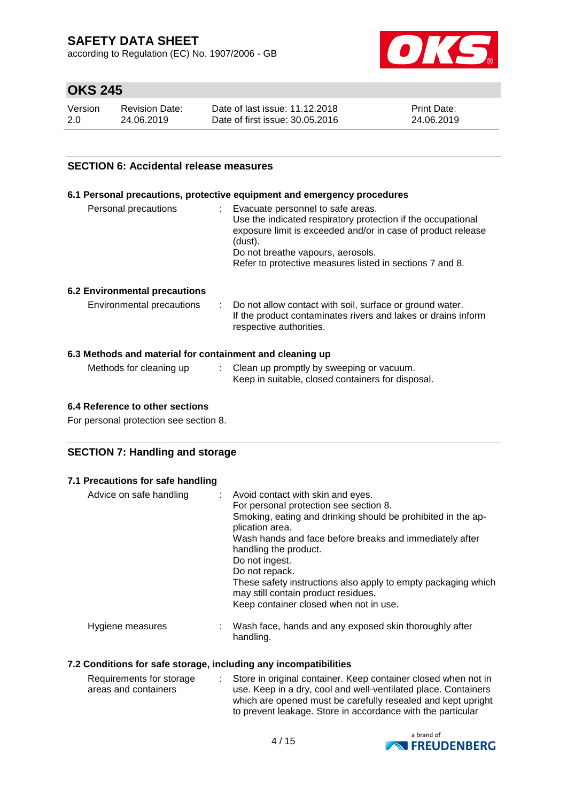according to Regulation (EC) No. 1907/2006 - GB



# **OKS 245**

| Version | <b>Revision Date:</b> | Date of last issue: 11.12.2018  | <b>Print Date:</b> |
|---------|-----------------------|---------------------------------|--------------------|
| 2.0     | 24.06.2019            | Date of first issue: 30.05.2016 | 24.06.2019         |

### **SECTION 6: Accidental release measures**

#### **6.1 Personal precautions, protective equipment and emergency procedures**

| Personal precautions | Evacuate personnel to safe areas.<br>Use the indicated respiratory protection if the occupational |
|----------------------|---------------------------------------------------------------------------------------------------|
|                      | exposure limit is exceeded and/or in case of product release<br>(dust).                           |
|                      | Do not breathe vapours, aerosols.                                                                 |
|                      | Refer to protective measures listed in sections 7 and 8.                                          |
|                      |                                                                                                   |

#### **6.2 Environmental precautions**

| Environmental precautions | : Do not allow contact with soil, surface or ground water.    |
|---------------------------|---------------------------------------------------------------|
|                           | If the product contaminates rivers and lakes or drains inform |
|                           | respective authorities.                                       |

### **6.3 Methods and material for containment and cleaning up**

| Methods for cleaning up | : Clean up promptly by sweeping or vacuum.        |
|-------------------------|---------------------------------------------------|
|                         | Keep in suitable, closed containers for disposal. |

#### **6.4 Reference to other sections**

For personal protection see section 8.

### **SECTION 7: Handling and storage**

#### **7.1 Precautions for safe handling**

| Advice on safe handling | : Avoid contact with skin and eyes.<br>For personal protection see section 8.<br>Smoking, eating and drinking should be prohibited in the ap-<br>plication area.<br>Wash hands and face before breaks and immediately after<br>handling the product.<br>Do not ingest.<br>Do not repack.<br>These safety instructions also apply to empty packaging which<br>may still contain product residues.<br>Keep container closed when not in use. |
|-------------------------|--------------------------------------------------------------------------------------------------------------------------------------------------------------------------------------------------------------------------------------------------------------------------------------------------------------------------------------------------------------------------------------------------------------------------------------------|
| Hygiene measures        | Wash face, hands and any exposed skin thoroughly after<br>handling.                                                                                                                                                                                                                                                                                                                                                                        |

#### **7.2 Conditions for safe storage, including any incompatibilities**

| Requirements for storage | Store in original container. Keep container closed when not in |
|--------------------------|----------------------------------------------------------------|
| areas and containers     | use. Keep in a dry, cool and well-ventilated place. Containers |
|                          | which are opened must be carefully resealed and kept upright   |
|                          | to prevent leakage. Store in accordance with the particular    |

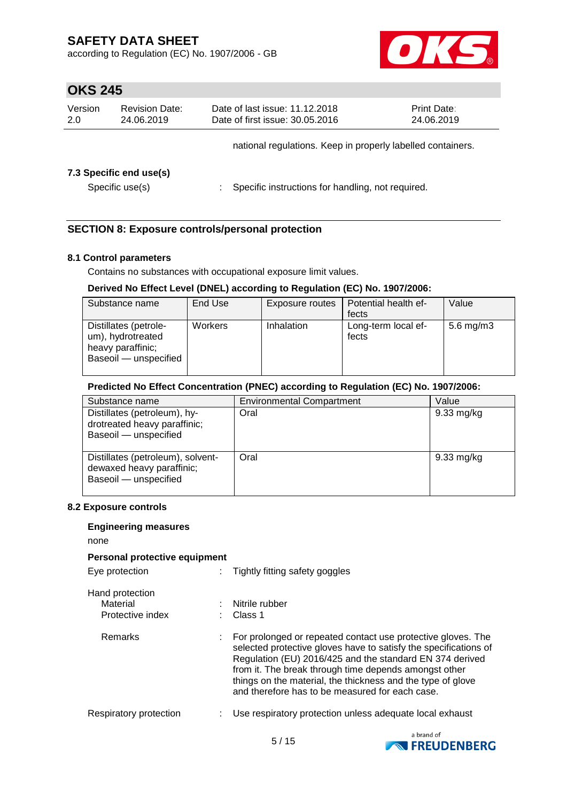according to Regulation (EC) No. 1907/2006 - GB



## **OKS 245**

| Version<br>2.0 | <b>Revision Date:</b><br>24.06.2019        | Date of last issue: 11.12.2018<br>Date of first issue: 30.05.2016 | <b>Print Date:</b><br>24.06.2019                            |
|----------------|--------------------------------------------|-------------------------------------------------------------------|-------------------------------------------------------------|
|                |                                            |                                                                   | national regulations. Keep in properly labelled containers. |
|                | 7.3 Specific end use(s)<br>Specific use(s) | Specific instructions for handling, not required.                 |                                                             |

### **SECTION 8: Exposure controls/personal protection**

#### **8.1 Control parameters**

Contains no substances with occupational exposure limit values.

#### **Derived No Effect Level (DNEL) according to Regulation (EC) No. 1907/2006:**

| Substance name                                                                           | End Use        | Exposure routes   | Potential health ef-<br>fects | Value        |
|------------------------------------------------------------------------------------------|----------------|-------------------|-------------------------------|--------------|
| Distillates (petrole-<br>um), hydrotreated<br>heavy paraffinic;<br>Baseoil - unspecified | <b>Workers</b> | <b>Inhalation</b> | Long-term local ef-<br>fects  | 5.6 mg/m $3$ |

#### **Predicted No Effect Concentration (PNEC) according to Regulation (EC) No. 1907/2006:**

| Substance name                                                                          | <b>Environmental Compartment</b> | Value                |
|-----------------------------------------------------------------------------------------|----------------------------------|----------------------|
| Distillates (petroleum), hy-<br>drotreated heavy paraffinic;<br>Baseoil - unspecified   | Oral                             | $9.33 \text{ mg/kg}$ |
| Distillates (petroleum), solvent-<br>dewaxed heavy paraffinic;<br>Baseoil - unspecified | Oral                             | 9.33 mg/kg           |

#### **8.2 Exposure controls**

#### **Engineering measures**

none

| .                                               |   |                                                                                                                                                                                                                                                                                                                                                                         |
|-------------------------------------------------|---|-------------------------------------------------------------------------------------------------------------------------------------------------------------------------------------------------------------------------------------------------------------------------------------------------------------------------------------------------------------------------|
| Personal protective equipment                   |   |                                                                                                                                                                                                                                                                                                                                                                         |
| Eye protection                                  |   | Tightly fitting safety goggles                                                                                                                                                                                                                                                                                                                                          |
| Hand protection<br>Material<br>Protective index |   | Nitrile rubber<br>Class 1                                                                                                                                                                                                                                                                                                                                               |
| Remarks                                         |   | For prolonged or repeated contact use protective gloves. The<br>selected protective gloves have to satisfy the specifications of<br>Regulation (EU) 2016/425 and the standard EN 374 derived<br>from it. The break through time depends amongst other<br>things on the material, the thickness and the type of glove<br>and therefore has to be measured for each case. |
| Respiratory protection                          | ÷ | Use respiratory protection unless adequate local exhaust                                                                                                                                                                                                                                                                                                                |
|                                                 |   | a hrand of                                                                                                                                                                                                                                                                                                                                                              |

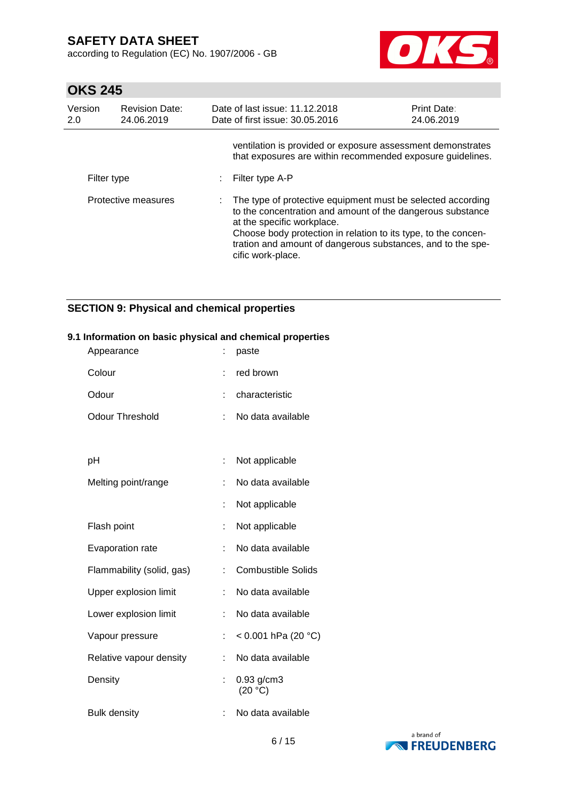according to Regulation (EC) No. 1907/2006 - GB



# **OKS 245**

| Version<br>2.0 | <b>Revision Date:</b><br>24.06.2019 | Date of last issue: 11.12.2018<br>Date of first issue: 30.05.2016                                                                                                                                                                                                                                               | <b>Print Date:</b><br>24.06.2019 |
|----------------|-------------------------------------|-----------------------------------------------------------------------------------------------------------------------------------------------------------------------------------------------------------------------------------------------------------------------------------------------------------------|----------------------------------|
|                |                                     | ventilation is provided or exposure assessment demonstrates<br>that exposures are within recommended exposure guidelines.                                                                                                                                                                                       |                                  |
| Filter type    |                                     | Filter type A-P                                                                                                                                                                                                                                                                                                 |                                  |
|                | Protective measures                 | : The type of protective equipment must be selected according<br>to the concentration and amount of the dangerous substance<br>at the specific workplace.<br>Choose body protection in relation to its type, to the concen-<br>tration and amount of dangerous substances, and to the spe-<br>cific work-place. |                                  |

## **SECTION 9: Physical and chemical properties**

## **9.1 Information on basic physical and chemical properties**

| Appearance                | t. | paste                     |
|---------------------------|----|---------------------------|
| Colour                    | t  | red brown                 |
| Odour                     | t  | characteristic            |
| <b>Odour Threshold</b>    | t. | No data available         |
|                           |    |                           |
| рH                        | t. | Not applicable            |
| Melting point/range       | t  | No data available         |
|                           | t  | Not applicable            |
| Flash point               | t  | Not applicable            |
| Evaporation rate          | t  | No data available         |
| Flammability (solid, gas) | t. | <b>Combustible Solids</b> |
| Upper explosion limit     | t. | No data available         |
| Lower explosion limit     | t, | No data available         |
| Vapour pressure           | t, | < 0.001 hPa (20 °C)       |
| Relative vapour density   | ÷  | No data available         |
| Density                   | t  | 0.93 g/cm3<br>(20 °C)     |
| <b>Bulk density</b>       | t  | No data available         |

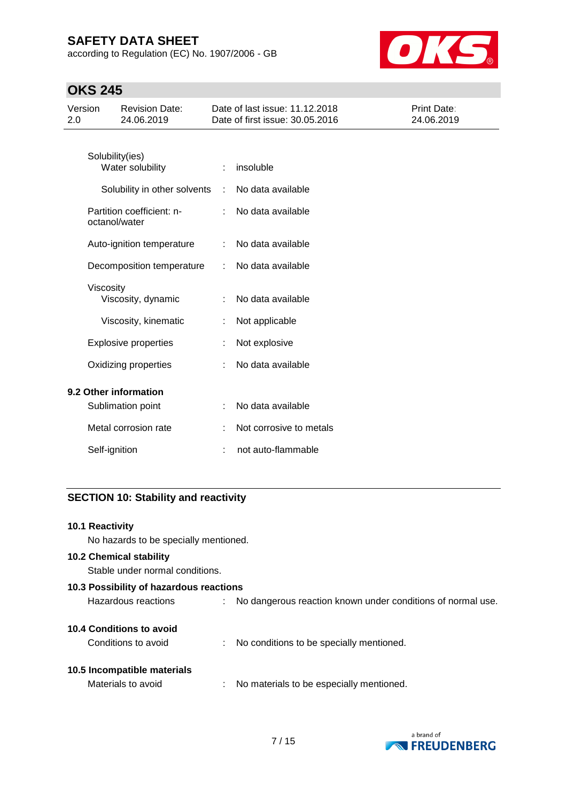according to Regulation (EC) No. 1907/2006 - GB



# **OKS 245**

| Version<br>2.0 |               | <b>Revision Date:</b><br>24.06.2019        |   | Date of last issue: 11.12.2018<br>Date of first issue: 30.05.2016 | Print Date:<br>24.06.2019 |
|----------------|---------------|--------------------------------------------|---|-------------------------------------------------------------------|---------------------------|
|                |               | Solubility(ies)<br>Water solubility        | ÷ | insoluble                                                         |                           |
|                |               | Solubility in other solvents               | ÷ | No data available                                                 |                           |
|                |               | Partition coefficient: n-<br>octanol/water |   | No data available                                                 |                           |
|                |               | Auto-ignition temperature                  | ÷ | No data available                                                 |                           |
|                |               | Decomposition temperature                  |   | No data available                                                 |                           |
|                | Viscosity     | Viscosity, dynamic                         |   | No data available                                                 |                           |
|                |               | Viscosity, kinematic                       |   | Not applicable                                                    |                           |
|                |               | <b>Explosive properties</b>                |   | Not explosive                                                     |                           |
|                |               | Oxidizing properties                       |   | No data available                                                 |                           |
|                |               | 9.2 Other information                      |   |                                                                   |                           |
|                |               | Sublimation point                          |   | No data available                                                 |                           |
|                |               | Metal corrosion rate                       |   | Not corrosive to metals                                           |                           |
|                | Self-ignition |                                            |   | not auto-flammable                                                |                           |

## **SECTION 10: Stability and reactivity**

| 10.1 Reactivity<br>No hazards to be specially mentioned.          |    |                                                             |
|-------------------------------------------------------------------|----|-------------------------------------------------------------|
| <b>10.2 Chemical stability</b><br>Stable under normal conditions. |    |                                                             |
| 10.3 Possibility of hazardous reactions                           |    |                                                             |
| Hazardous reactions                                               |    | No dangerous reaction known under conditions of normal use. |
| <b>10.4 Conditions to avoid</b><br>Conditions to avoid            | ÷. | No conditions to be specially mentioned.                    |
| 10.5 Incompatible materials<br>Materials to avoid                 |    | No materials to be especially mentioned.                    |

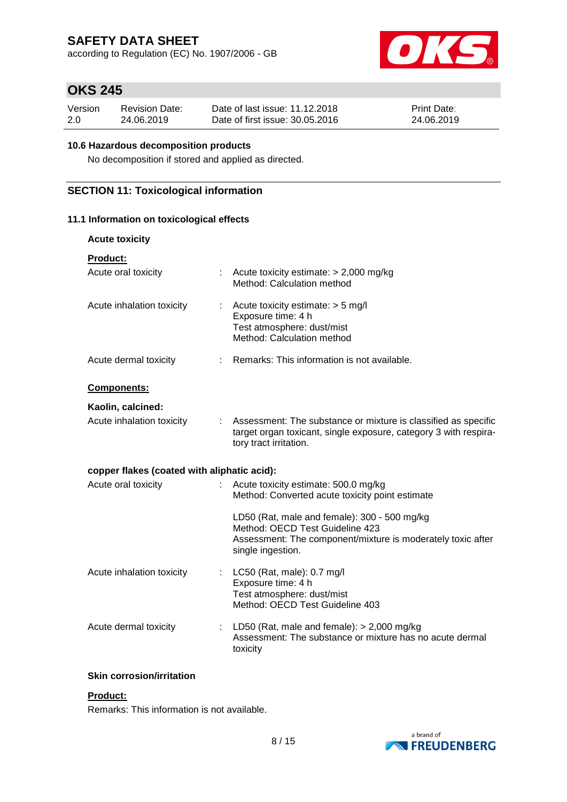according to Regulation (EC) No. 1907/2006 - GB



## **OKS 245**

| Version | <b>Revision Date:</b> | Date of last issue: 11.12.2018  | <b>Print Date:</b> |
|---------|-----------------------|---------------------------------|--------------------|
| 2.0     | 24.06.2019            | Date of first issue: 30.05.2016 | 24.06.2019         |

#### **10.6 Hazardous decomposition products**

No decomposition if stored and applied as directed.

## **SECTION 11: Toxicological information**

### **11.1 Information on toxicological effects**

| <b>Acute toxicity</b>                       |                                                                                                                                                                     |
|---------------------------------------------|---------------------------------------------------------------------------------------------------------------------------------------------------------------------|
| <b>Product:</b>                             |                                                                                                                                                                     |
| Acute oral toxicity                         | Acute toxicity estimate: $> 2,000$ mg/kg<br>Method: Calculation method                                                                                              |
| Acute inhalation toxicity<br>t.             | Acute toxicity estimate: $>$ 5 mg/l<br>Exposure time: 4 h<br>Test atmosphere: dust/mist<br>Method: Calculation method                                               |
| Acute dermal toxicity                       | : Remarks: This information is not available.                                                                                                                       |
| Components:                                 |                                                                                                                                                                     |
| Kaolin, calcined:                           |                                                                                                                                                                     |
| Acute inhalation toxicity                   | Assessment: The substance or mixture is classified as specific<br>target organ toxicant, single exposure, category 3 with respira-<br>tory tract irritation.        |
| copper flakes (coated with aliphatic acid): |                                                                                                                                                                     |
| Acute oral toxicity                         | Acute toxicity estimate: 500.0 mg/kg<br>Method: Converted acute toxicity point estimate                                                                             |
|                                             | LD50 (Rat, male and female): 300 - 500 mg/kg<br>Method: OECD Test Guideline 423<br>Assessment: The component/mixture is moderately toxic after<br>single ingestion. |
| Acute inhalation toxicity                   | LC50 (Rat, male): 0.7 mg/l<br>Exposure time: 4 h<br>Test atmosphere: dust/mist<br>Method: OECD Test Guideline 403                                                   |
| Acute dermal toxicity                       | LD50 (Rat, male and female): $>$ 2,000 mg/kg<br>Assessment: The substance or mixture has no acute dermal<br>toxicity                                                |

#### **Skin corrosion/irritation**

## **Product:**

Remarks: This information is not available.

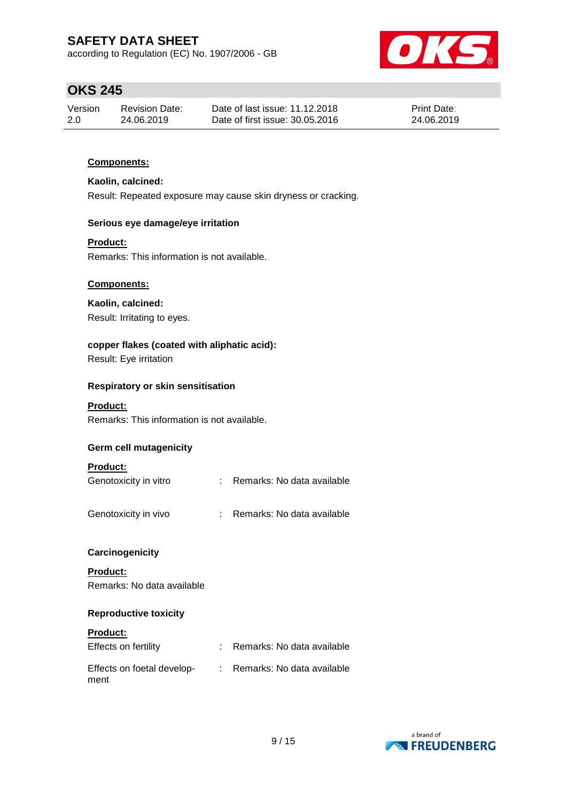according to Regulation (EC) No. 1907/2006 - GB



# **OKS 245**

| Version | <b>Revision Date:</b> | Date of last issue: 11.12.2018  | <b>Print Date:</b> |
|---------|-----------------------|---------------------------------|--------------------|
| 2.0     | 24.06.2019            | Date of first issue: 30.05.2016 | 24.06.2019         |

### **Components:**

### **Kaolin, calcined:**

Result: Repeated exposure may cause skin dryness or cracking.

#### **Serious eye damage/eye irritation**

#### **Product:**

Remarks: This information is not available.

#### **Components:**

#### **Kaolin, calcined:**

Result: Irritating to eyes.

## **copper flakes (coated with aliphatic acid):**

Result: Eye irritation

#### **Respiratory or skin sensitisation**

#### **Product:**

Remarks: This information is not available.

#### **Germ cell mutagenicity**

### **Product:**

| Genotoxicity in vitro |  | Remarks: No data available |  |
|-----------------------|--|----------------------------|--|
|-----------------------|--|----------------------------|--|

| Remarks: No data available |
|----------------------------|
|                            |

#### **Carcinogenicity**

**Product:** Remarks: No data available

#### **Reproductive toxicity**

#### **Product:**

| Effects on fertility               | : Remarks: No data available |
|------------------------------------|------------------------------|
| Effects on foetal develop-<br>ment | : Remarks: No data available |

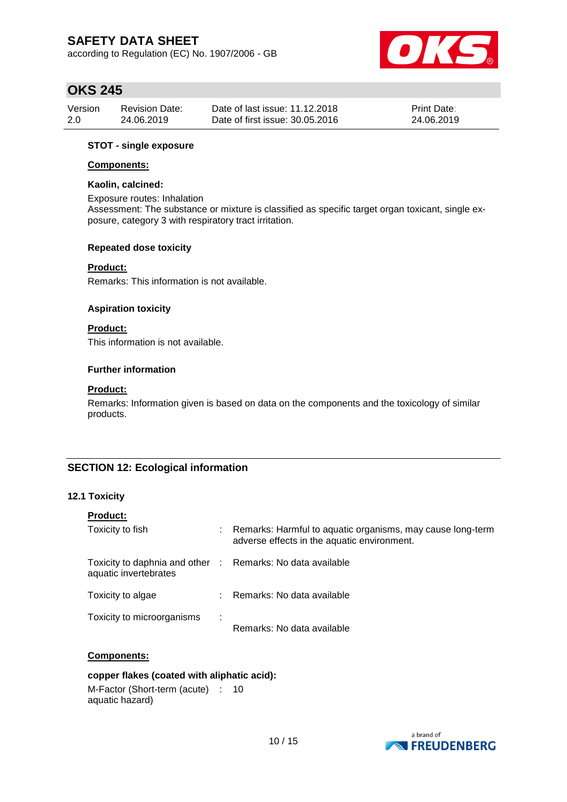according to Regulation (EC) No. 1907/2006 - GB



## **OKS 245**

| Version | Revision Date: | Date of last issue: 11.12.2018  | <b>Print Date:</b> |
|---------|----------------|---------------------------------|--------------------|
| 2.0     | 24.06.2019     | Date of first issue: 30.05.2016 | 24.06.2019         |

#### **STOT - single exposure**

#### **Components:**

#### **Kaolin, calcined:**

Exposure routes: Inhalation Assessment: The substance or mixture is classified as specific target organ toxicant, single exposure, category 3 with respiratory tract irritation.

#### **Repeated dose toxicity**

#### **Product:**

Remarks: This information is not available.

#### **Aspiration toxicity**

#### **Product:**

This information is not available.

#### **Further information**

#### **Product:**

Remarks: Information given is based on data on the components and the toxicology of similar products.

### **SECTION 12: Ecological information**

### **12.1 Toxicity**

| <b>Product:</b>                                                                     |   |                                                                                                           |
|-------------------------------------------------------------------------------------|---|-----------------------------------------------------------------------------------------------------------|
| Toxicity to fish                                                                    |   | Remarks: Harmful to aquatic organisms, may cause long-term<br>adverse effects in the aquatic environment. |
| Toxicity to daphnia and other : Remarks: No data available<br>aquatic invertebrates |   |                                                                                                           |
| Toxicity to algae                                                                   |   | Remarks: No data available                                                                                |
| Toxicity to microorganisms                                                          | ÷ | Remarks: No data available                                                                                |

#### **Components:**

#### **copper flakes (coated with aliphatic acid):**

M-Factor (Short-term (acute) : 10aquatic hazard)

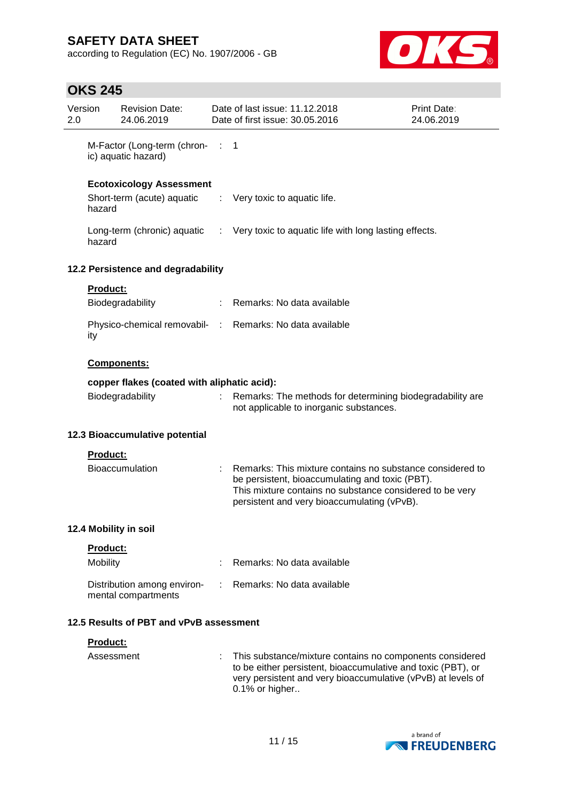according to Regulation (EC) No. 1907/2006 - GB



# **OKS 245**

| 2.0 | Version                       | <b>Revision Date:</b><br>24.06.2019                |                | Date of last issue: 11.12.2018<br>Date of first issue: 30.05.2016                                                                                                                                                       | Print Date:<br>24.06.2019 |
|-----|-------------------------------|----------------------------------------------------|----------------|-------------------------------------------------------------------------------------------------------------------------------------------------------------------------------------------------------------------------|---------------------------|
|     |                               | M-Factor (Long-term (chron-<br>ic) aquatic hazard) | $\therefore$ 1 |                                                                                                                                                                                                                         |                           |
|     |                               | <b>Ecotoxicology Assessment</b>                    |                |                                                                                                                                                                                                                         |                           |
|     | hazard                        | Short-term (acute) aquatic                         | ÷              | Very toxic to aquatic life.                                                                                                                                                                                             |                           |
|     | hazard                        | Long-term (chronic) aquatic :                      |                | Very toxic to aquatic life with long lasting effects.                                                                                                                                                                   |                           |
|     |                               | 12.2 Persistence and degradability                 |                |                                                                                                                                                                                                                         |                           |
|     | <b>Product:</b>               | Biodegradability                                   | ÷              | Remarks: No data available                                                                                                                                                                                              |                           |
|     | ity                           |                                                    |                | Physico-chemical removabil- : Remarks: No data available                                                                                                                                                                |                           |
|     |                               | Components:                                        |                |                                                                                                                                                                                                                         |                           |
|     |                               | copper flakes (coated with aliphatic acid):        |                |                                                                                                                                                                                                                         |                           |
|     |                               | Biodegradability                                   |                | Remarks: The methods for determining biodegradability are<br>not applicable to inorganic substances.                                                                                                                    |                           |
|     |                               | 12.3 Bioaccumulative potential                     |                |                                                                                                                                                                                                                         |                           |
|     | <b>Product:</b>               |                                                    |                |                                                                                                                                                                                                                         |                           |
|     |                               | <b>Bioaccumulation</b>                             |                | Remarks: This mixture contains no substance considered to<br>be persistent, bioaccumulating and toxic (PBT).<br>This mixture contains no substance considered to be very<br>persistent and very bioaccumulating (vPvB). |                           |
|     |                               | 12.4 Mobility in soil                              |                |                                                                                                                                                                                                                         |                           |
|     | <b>Product:</b>               |                                                    |                |                                                                                                                                                                                                                         |                           |
|     | Mobility                      |                                                    |                | Remarks: No data available                                                                                                                                                                                              |                           |
|     |                               | Distribution among environ-<br>mental compartments |                | Remarks: No data available                                                                                                                                                                                              |                           |
|     |                               | 12.5 Results of PBT and vPvB assessment            |                |                                                                                                                                                                                                                         |                           |
|     | <b>Product:</b><br>Assessment |                                                    |                | This substance/mixture contains no components considered<br>to be either persistent, bioaccumulative and toxic (PBT), or<br>very persistent and very bioaccumulative (vPvB) at levels of<br>0.1% or higher              |                           |

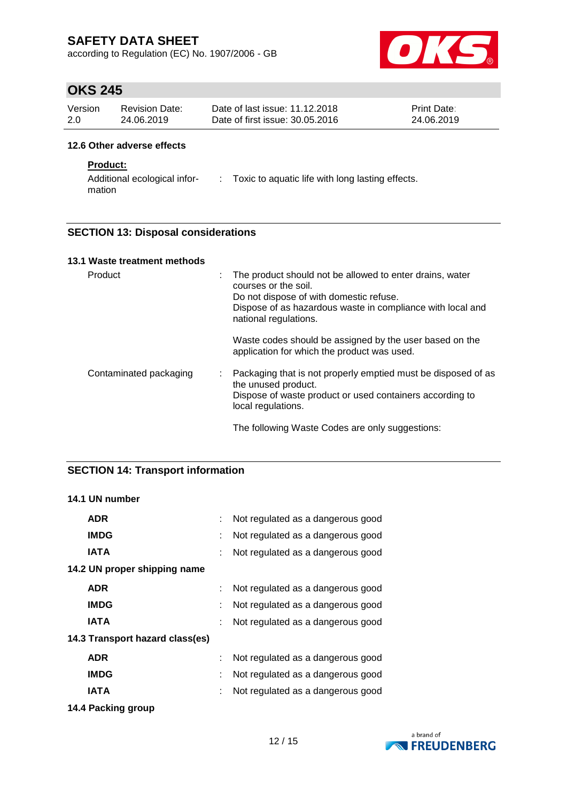according to Regulation (EC) No. 1907/2006 - GB



## **OKS 245**

| Version | Revision Date: | Date of last issue: 11.12.2018  | <b>Print Date:</b> |
|---------|----------------|---------------------------------|--------------------|
| 2.0     | 24.06.2019     | Date of first issue: 30.05.2016 | 24.06.2019         |

#### **12.6 Other adverse effects**

### **Product:**

Additional ecological infor-: Toxic to aquatic life with long lasting effects. mation

### **SECTION 13: Disposal considerations**

| 13.1 Waste treatment methods |                                                                                                                                                                                                                         |
|------------------------------|-------------------------------------------------------------------------------------------------------------------------------------------------------------------------------------------------------------------------|
| Product                      | The product should not be allowed to enter drains, water<br>÷<br>courses or the soil.<br>Do not dispose of with domestic refuse.<br>Dispose of as hazardous waste in compliance with local and<br>national regulations. |
|                              | Waste codes should be assigned by the user based on the<br>application for which the product was used.                                                                                                                  |
| Contaminated packaging       | Packaging that is not properly emptied must be disposed of as<br>the unused product.<br>Dispose of waste product or used containers according to<br>local regulations.                                                  |
|                              | The following Waste Codes are only suggestions:                                                                                                                                                                         |

### **SECTION 14: Transport information**

## **14.1 UN number**

| <b>ADR</b>                      |   | Not regulated as a dangerous good |
|---------------------------------|---|-----------------------------------|
| <b>IMDG</b>                     |   | Not regulated as a dangerous good |
| <b>IATA</b>                     |   | Not regulated as a dangerous good |
| 14.2 UN proper shipping name    |   |                                   |
| <b>ADR</b>                      |   | Not regulated as a dangerous good |
| <b>IMDG</b>                     |   | Not regulated as a dangerous good |
| IATA                            | t | Not regulated as a dangerous good |
| 14.3 Transport hazard class(es) |   |                                   |
| <b>ADR</b>                      |   | Not regulated as a dangerous good |
| <b>IMDG</b>                     | ÷ | Not regulated as a dangerous good |
| <b>IATA</b>                     |   | Not regulated as a dangerous good |
|                                 |   |                                   |

**14.4 Packing group**

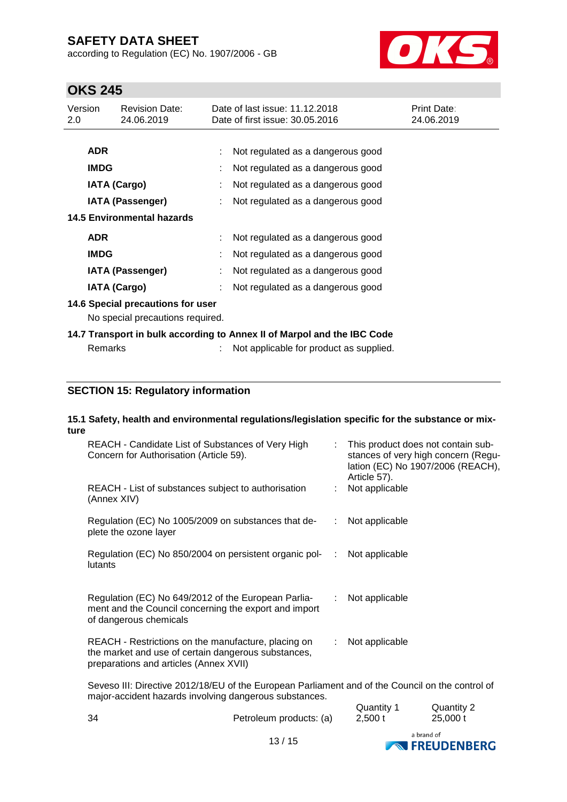according to Regulation (EC) No. 1907/2006 - GB



# **OKS 245**

| Version<br>2.0 |                         | <b>Revision Date:</b><br>24.06.2019                                   | Date of last issue: 11.12.2018<br>Date of first issue: 30.05.2016       | <b>Print Date:</b><br>24.06.2019 |
|----------------|-------------------------|-----------------------------------------------------------------------|-------------------------------------------------------------------------|----------------------------------|
|                |                         |                                                                       |                                                                         |                                  |
|                | <b>ADR</b>              |                                                                       | Not regulated as a dangerous good                                       |                                  |
|                | <b>IMDG</b>             |                                                                       | Not regulated as a dangerous good                                       |                                  |
|                | <b>IATA (Cargo)</b>     |                                                                       | Not regulated as a dangerous good                                       |                                  |
|                | <b>IATA (Passenger)</b> |                                                                       | Not regulated as a dangerous good                                       |                                  |
|                |                         | <b>14.5 Environmental hazards</b>                                     |                                                                         |                                  |
|                | <b>ADR</b>              |                                                                       | Not regulated as a dangerous good                                       |                                  |
|                | <b>IMDG</b>             |                                                                       | Not regulated as a dangerous good                                       |                                  |
|                | <b>IATA (Passenger)</b> |                                                                       | Not regulated as a dangerous good                                       |                                  |
|                | <b>IATA (Cargo)</b>     |                                                                       | Not regulated as a dangerous good                                       |                                  |
|                |                         | 14.6 Special precautions for user<br>No special precautions required. |                                                                         |                                  |
|                |                         |                                                                       | 14.7 Transport in bulk according to Annex II of Marpol and the IBC Code |                                  |
|                | Remarks                 |                                                                       | Not applicable for product as supplied.                                 |                                  |

## **SECTION 15: Regulatory information**

#### **15.1 Safety, health and environmental regulations/legislation specific for the substance or mixture**

| REACH - Candidate List of Substances of Very High<br>Concern for Authorisation (Article 59).                                                               | : This product does not contain sub-<br>stances of very high concern (Regu-<br>lation (EC) No 1907/2006 (REACH),<br>Article 57). |
|------------------------------------------------------------------------------------------------------------------------------------------------------------|----------------------------------------------------------------------------------------------------------------------------------|
| REACH - List of substances subject to authorisation<br>(Annex XIV)                                                                                         | : Not applicable                                                                                                                 |
| Regulation (EC) No 1005/2009 on substances that de-<br>plete the ozone layer                                                                               | : Not applicable                                                                                                                 |
| Regulation (EC) No 850/2004 on persistent organic pol-<br>lutants                                                                                          | $\therefore$ Not applicable                                                                                                      |
| Regulation (EC) No 649/2012 of the European Parlia-<br>ment and the Council concerning the export and import<br>of dangerous chemicals                     | : Not applicable                                                                                                                 |
| REACH - Restrictions on the manufacture, placing on<br>the market and use of certain dangerous substances,<br>preparations and articles (Annex XVII)       | : Not applicable                                                                                                                 |
| Seveso III: Directive 2012/18/EU of the European Parliament and of the Council on the control of<br>major-accident hazards involving dangerous substances. |                                                                                                                                  |

|     | $\sim$ $\sim$ $\sim$    |                      | a brand of             |  |
|-----|-------------------------|----------------------|------------------------|--|
| -34 | Petroleum products: (a) | Quantity 1<br>2,500t | Quantity 2<br>25,000 t |  |

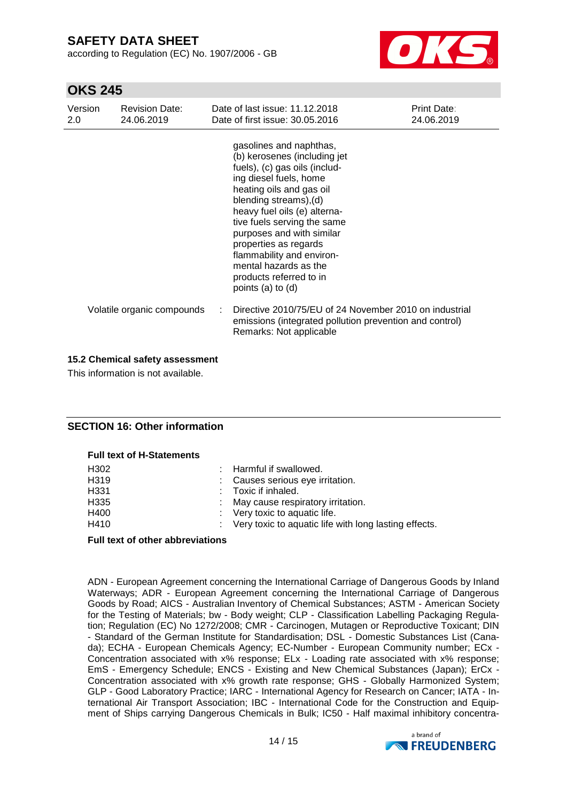according to Regulation (EC) No. 1907/2006 - GB



## **OKS 245**

| Version<br>2.0 | <b>Revision Date:</b><br>24.06.2019 | Date of last issue: 11.12.2018<br>Date of first issue: 30.05.2016                                                                                                                                                                                                                                                                                                                                       | <b>Print Date:</b><br>24.06.2019 |
|----------------|-------------------------------------|---------------------------------------------------------------------------------------------------------------------------------------------------------------------------------------------------------------------------------------------------------------------------------------------------------------------------------------------------------------------------------------------------------|----------------------------------|
|                |                                     | gasolines and naphthas,<br>(b) kerosenes (including jet<br>fuels), (c) gas oils (includ-<br>ing diesel fuels, home<br>heating oils and gas oil<br>blending streams), (d)<br>heavy fuel oils (e) alterna-<br>tive fuels serving the same<br>purposes and with similar<br>properties as regards<br>flammability and environ-<br>mental hazards as the<br>products referred to in<br>points $(a)$ to $(d)$ |                                  |
|                | Volatile organic compounds          | Directive 2010/75/EU of 24 November 2010 on industrial<br>emissions (integrated pollution prevention and control)<br>Remarks: Not applicable                                                                                                                                                                                                                                                            |                                  |

#### **15.2 Chemical safety assessment**

This information is not available.

### **SECTION 16: Other information**

#### **Full text of H-Statements**

| H302 | : Harmful if swallowed.                                            |
|------|--------------------------------------------------------------------|
| H319 | : Causes serious eye irritation.                                   |
| H331 | : Toxic if inhaled.                                                |
| H335 | : May cause respiratory irritation.                                |
| H400 | : Very toxic to aquatic life.                                      |
| H410 | $\therefore$ Very toxic to aquatic life with long lasting effects. |

#### **Full text of other abbreviations**

ADN - European Agreement concerning the International Carriage of Dangerous Goods by Inland Waterways; ADR - European Agreement concerning the International Carriage of Dangerous Goods by Road; AICS - Australian Inventory of Chemical Substances; ASTM - American Society for the Testing of Materials; bw - Body weight; CLP - Classification Labelling Packaging Regulation; Regulation (EC) No 1272/2008; CMR - Carcinogen, Mutagen or Reproductive Toxicant; DIN - Standard of the German Institute for Standardisation; DSL - Domestic Substances List (Canada); ECHA - European Chemicals Agency; EC-Number - European Community number; ECx - Concentration associated with x% response; ELx - Loading rate associated with x% response; EmS - Emergency Schedule; ENCS - Existing and New Chemical Substances (Japan); ErCx - Concentration associated with x% growth rate response; GHS - Globally Harmonized System; GLP - Good Laboratory Practice; IARC - International Agency for Research on Cancer; IATA - International Air Transport Association; IBC - International Code for the Construction and Equipment of Ships carrying Dangerous Chemicals in Bulk; IC50 - Half maximal inhibitory concentra-